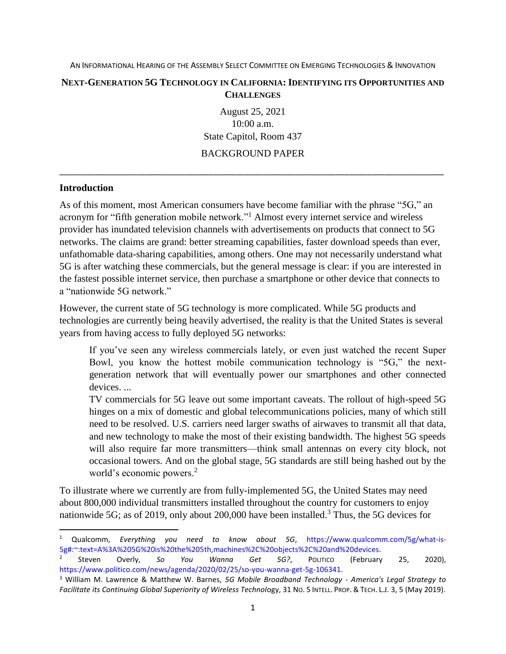#### **NEXT-GENERATION 5G TECHNOLOGY IN CALIFORNIA: IDENTIFYING ITS OPPORTUNITIES AND CHALLENGES**

August 25, 2021 10:00 a.m. State Capitol, Room 437 BACKGROUND PAPER

\_\_\_\_\_\_\_\_\_\_\_\_\_\_\_\_\_\_\_\_\_\_\_\_\_\_\_\_\_\_\_\_\_\_\_\_\_\_\_\_\_\_\_\_\_\_\_\_\_\_\_\_\_\_\_\_\_\_\_\_\_\_\_\_\_\_\_\_\_\_\_\_\_\_\_\_\_\_\_\_\_\_\_\_\_

### **Introduction**

l

As of this moment, most American consumers have become familiar with the phrase "5G," an acronym for "fifth generation mobile network."<sup>1</sup> Almost every internet service and wireless provider has inundated television channels with advertisements on products that connect to 5G networks. The claims are grand: better streaming capabilities, faster download speeds than ever, unfathomable data-sharing capabilities, among others. One may not necessarily understand what 5G is after watching these commercials, but the general message is clear: if you are interested in the fastest possible internet service, then purchase a smartphone or other device that connects to a "nationwide 5G network."

However, the current state of 5G technology is more complicated. While 5G products and technologies are currently being heavily advertised, the reality is that the United States is several years from having access to fully deployed 5G networks:

If you've seen any wireless commercials lately, or even just watched the recent Super Bowl, you know the hottest mobile communication technology is "5G," the nextgeneration network that will eventually power our smartphones and other connected devices. ...

TV commercials for 5G leave out some important caveats. The rollout of high-speed 5G hinges on a mix of domestic and global telecommunications policies, many of which still need to be resolved. U.S. carriers need larger swaths of airwaves to transmit all that data, and new technology to make the most of their existing bandwidth. The highest 5G speeds will also require far more transmitters—think small antennas on every city block, not occasional towers. And on the global stage, 5G standards are still being hashed out by the world's economic powers.<sup>2</sup>

To illustrate where we currently are from fully-implemented 5G, the United States may need about 800,000 individual transmitters installed throughout the country for customers to enjoy nationwide 5G; as of 2019, only about 200,000 have been installed.<sup>3</sup> Thus, the 5G devices for

<sup>1</sup> Qualcomm, *Everything you need to know about 5G*, [https://www.qualcomm.com/5g/what-is-](https://www.qualcomm.com/5g/what-is-5g#:~:text=A%3A%205G%20is%20the%205th,machines%2C%20objects%2C%20and%20devices)[5g#:~:text=A%3A%205G%20is%20the%205th,machines%2C%20objects%2C%20and%20devices.](https://www.qualcomm.com/5g/what-is-5g#:~:text=A%3A%205G%20is%20the%205th,machines%2C%20objects%2C%20and%20devices)

<sup>2</sup> Steven Overly, *So You Wanna Get 5G?*, POLITICO (February 25, 2020), [https://www.politico.com/news/agenda/2020/02/25/so-you-wanna-get-5g-106341.](https://www.politico.com/news/agenda/2020/02/25/so-you-wanna-get-5g-106341)

<sup>3</sup> William M. Lawrence & Matthew W. Barnes, *5G Mobile Broadband Technology - America's Legal Strategy to Facilitate its Continuing Global Superiority of Wireless Technol*ogy, 31 NO. 5 INTELL. PROP. & TECH. L.J. 3, 5 (May 2019).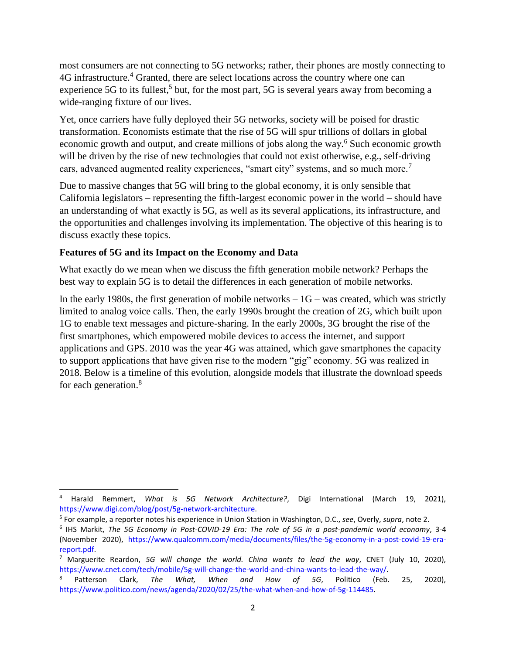most consumers are not connecting to 5G networks; rather, their phones are mostly connecting to 4G infrastructure.<sup>4</sup> Granted, there are select locations across the country where one can experience 5G to its fullest,<sup>5</sup> but, for the most part, 5G is several years away from becoming a wide-ranging fixture of our lives.

Yet, once carriers have fully deployed their 5G networks, society will be poised for drastic transformation. Economists estimate that the rise of 5G will spur trillions of dollars in global economic growth and output, and create millions of jobs along the way.<sup>6</sup> Such economic growth will be driven by the rise of new technologies that could not exist otherwise, e.g., self-driving cars, advanced augmented reality experiences, "smart city" systems, and so much more.<sup>7</sup>

Due to massive changes that 5G will bring to the global economy, it is only sensible that California legislators – representing the fifth-largest economic power in the world – should have an understanding of what exactly is 5G, as well as its several applications, its infrastructure, and the opportunities and challenges involving its implementation. The objective of this hearing is to discuss exactly these topics.

# **Features of 5G and its Impact on the Economy and Data**

 $\overline{a}$ 

What exactly do we mean when we discuss the fifth generation mobile network? Perhaps the best way to explain 5G is to detail the differences in each generation of mobile networks.

In the early 1980s, the first generation of mobile networks  $-1G$  – was created, which was strictly limited to analog voice calls. Then, the early 1990s brought the creation of 2G, which built upon 1G to enable text messages and picture-sharing. In the early 2000s, 3G brought the rise of the first smartphones, which empowered mobile devices to access the internet, and support applications and GPS. 2010 was the year 4G was attained, which gave smartphones the capacity to support applications that have given rise to the modern "gig" economy. 5G was realized in 2018. Below is a timeline of this evolution, alongside models that illustrate the download speeds for each generation.<sup>8</sup>

<sup>4</sup> Harald Remmert, *What is 5G Network Architecture?*, Digi International (March 19, 2021), [https://www.digi.com/blog/post/5g-network-architecture.](https://www.digi.com/blog/post/5g-network-architecture)

<sup>5</sup> For example, a reporter notes his experience in Union Station in Washington, D.C., *see*, Overly, *supra*, note 2.

<sup>6</sup> IHS Markit, *The 5G Economy in Post-COVID-19 Era: The role of 5G in a post-pandemic world economy*, 3-4 (November 2020), [https://www.qualcomm.com/media/documents/files/the-5g-economy-in-a-post-covid-19-era](https://www.qualcomm.com/media/documents/files/the-5g-economy-in-a-post-covid-19-era-report.pdf)[report.pdf.](https://www.qualcomm.com/media/documents/files/the-5g-economy-in-a-post-covid-19-era-report.pdf)

<sup>7</sup> Marguerite Reardon, *5G will change the world. China wants to lead the way*, CNET (July 10, 2020), [https://www.cnet.com/tech/mobile/5g-will-change-the-world-and-china-wants-to-lead-the-way/.](https://www.cnet.com/tech/mobile/5g-will-change-the-world-and-china-wants-to-lead-the-way/)

<sup>8</sup> Patterson Clark, *The What, When and How of 5G*, Politico (Feb. 25, 2020), [https://www.politico.com/news/agenda/2020/02/25/the-what-when-and-how-of-5g-114485.](https://www.politico.com/news/agenda/2020/02/25/the-what-when-and-how-of-5g-114485)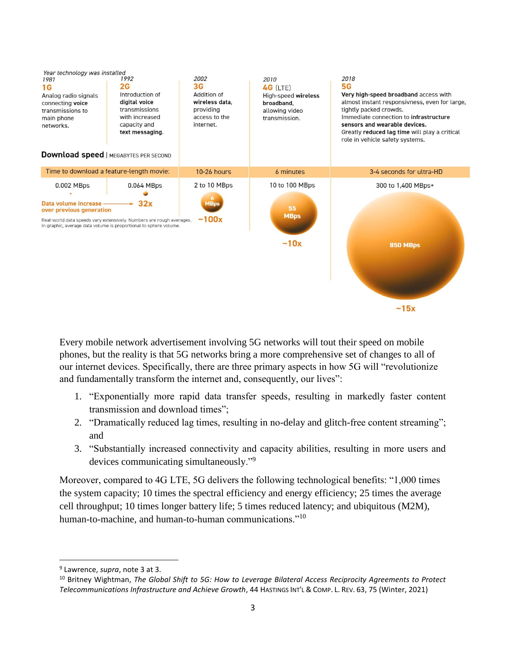

Every mobile network advertisement involving 5G networks will tout their speed on mobile phones, but the reality is that 5G networks bring a more comprehensive set of changes to all of our internet devices. Specifically, there are three primary aspects in how 5G will "revolutionize and fundamentally transform the internet and, consequently, our lives":

- 1. "Exponentially more rapid data transfer speeds, resulting in markedly faster content transmission and download times";
- 2. "Dramatically reduced lag times, resulting in no-delay and glitch-free content streaming"; and
- 3. "Substantially increased connectivity and capacity abilities, resulting in more users and devices communicating simultaneously."<sup>9</sup>

Moreover, compared to 4G LTE, 5G delivers the following technological benefits: "1,000 times the system capacity; 10 times the spectral efficiency and energy efficiency; 25 times the average cell throughput; 10 times longer battery life; 5 times reduced latency; and ubiquitous (M2M), human-to-machine, and human-to-human communications."<sup>10</sup>

 $\overline{a}$ 

<sup>9</sup> Lawrence, *supra*, note 3 at 3.

<sup>10</sup> Britney Wightman, *The Global Shift to 5G: How to Leverage Bilateral Access Reciprocity Agreements to Protect Telecommunications Infrastructure and Achieve Growth*, 44 HASTINGS INT'L & COMP. L. REV. 63, 75 (Winter, 2021)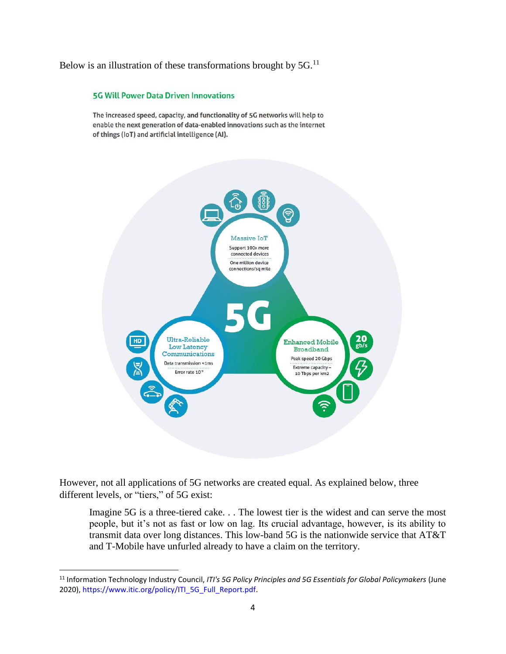Below is an illustration of these transformations brought by  $5G$ .<sup>11</sup>

#### **5G Will Power Data Driven Innovations**

The increased speed, capacity, and functionality of 5G networks will help to enable the next generation of data-enabled innovations such as the internet of things (IoT) and artificial intelligence (AI).



However, not all applications of 5G networks are created equal. As explained below, three different levels, or "tiers," of 5G exist:

Imagine 5G is a three-tiered cake. . . The lowest tier is the widest and can serve the most people, but it's not as fast or low on lag. Its crucial advantage, however, is its ability to transmit data over long distances. This low-band 5G is the nationwide service that AT&T and T-Mobile have unfurled already to have a claim on the territory.

<sup>11</sup> Information Technology Industry Council, *ITI's 5G Policy Principles and 5G Essentials for Global Policymakers* (June 2020), [https://www.itic.org/policy/ITI\\_5G\\_Full\\_Report.pdf.](https://www.itic.org/policy/ITI_5G_Full_Report.pdf)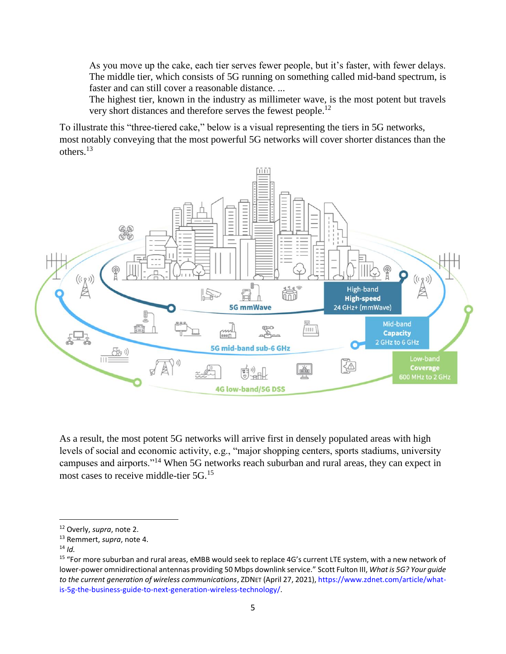As you move up the cake, each tier serves fewer people, but it's faster, with fewer delays. The middle tier, which consists of 5G running on something called mid-band spectrum, is faster and can still cover a reasonable distance. ...

The highest tier, known in the industry as millimeter wave, is the most potent but travels very short distances and therefore serves the fewest people.<sup>12</sup>

To illustrate this "three-tiered cake," below is a visual representing the tiers in 5G networks, most notably conveying that the most powerful 5G networks will cover shorter distances than the others.<sup>13</sup>

![](_page_4_Figure_3.jpeg)

As a result, the most potent 5G networks will arrive first in densely populated areas with high levels of social and economic activity, e.g., "major shopping centers, sports stadiums, university campuses and airports."<sup>14</sup> When 5G networks reach suburban and rural areas, they can expect in most cases to receive middle-tier 5G.<sup>15</sup>

<sup>14</sup> *Id.* 

<sup>12</sup> Overly, *supra*, note 2.

<sup>13</sup> Remmert, *supra*, note 4.

<sup>&</sup>lt;sup>15</sup> "For more suburban and rural areas, eMBB would seek to replace 4G's current LTE system, with a new network of lower-power omnidirectional antennas providing 50 Mbps downlink service." Scott Fulton III, *What is 5G? Your guide to the current generation of wireless communications*, ZDNET (April 27, 2021)[, https://www.zdnet.com/article/what](https://www.zdnet.com/article/what-is-5g-the-business-guide-to-next-generation-wireless-technology/)[is-5g-the-business-guide-to-next-generation-wireless-technology/.](https://www.zdnet.com/article/what-is-5g-the-business-guide-to-next-generation-wireless-technology/)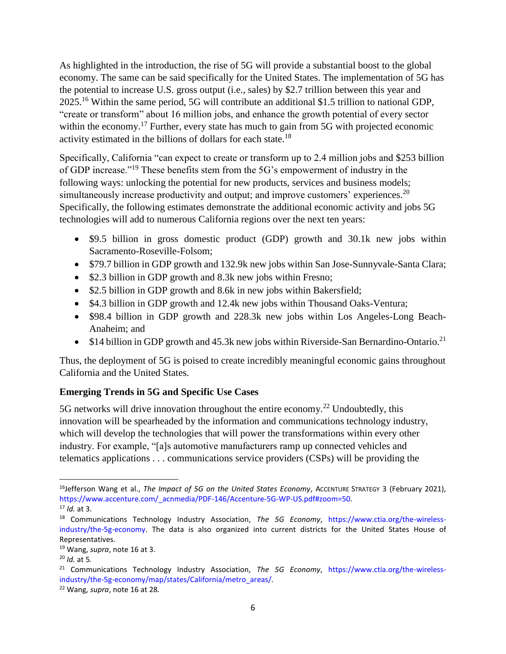As highlighted in the introduction, the rise of 5G will provide a substantial boost to the global economy. The same can be said specifically for the United States. The implementation of 5G has the potential to increase U.S. gross output (i.e., sales) by \$2.7 trillion between this year and 2025.<sup>16</sup> Within the same period, 5G will contribute an additional \$1.5 trillion to national GDP, "create or transform" about 16 million jobs, and enhance the growth potential of every sector within the economy.<sup>17</sup> Further, every state has much to gain from 5G with projected economic activity estimated in the billions of dollars for each state.<sup>18</sup>

Specifically, California "can expect to create or transform up to 2.4 million jobs and \$253 billion of GDP increase."<sup>19</sup> These benefits stem from the 5G's empowerment of industry in the following ways: unlocking the potential for new products, services and business models; simultaneously increase productivity and output; and improve customers' experiences.<sup>20</sup> Specifically, the following estimates demonstrate the additional economic activity and jobs 5G technologies will add to numerous California regions over the next ten years:

- \$9.5 billion in gross domestic product (GDP) growth and 30.1k new jobs within Sacramento-Roseville-Folsom;
- \$79.7 billion in GDP growth and 132.9k new jobs within San Jose-Sunnyvale-Santa Clara;
- \$2.3 billion in GDP growth and 8.3k new jobs within Fresno;
- \$2.5 billion in GDP growth and 8.6k in new jobs within Bakersfield;
- \$4.3 billion in GDP growth and 12.4k new jobs within Thousand Oaks-Ventura;
- \$98.4 billion in GDP growth and 228.3k new jobs within Los Angeles-Long Beach-Anaheim; and
- \$14 billion in GDP growth and 45.3k new jobs within Riverside-San Bernardino-Ontario.<sup>21</sup>

Thus, the deployment of 5G is poised to create incredibly meaningful economic gains throughout California and the United States.

# **Emerging Trends in 5G and Specific Use Cases**

5G networks will drive innovation throughout the entire economy.<sup>22</sup> Undoubtedly, this innovation will be spearheaded by the information and communications technology industry, which will develop the technologies that will power the transformations within every other industry. For example, "[a]s automotive manufacturers ramp up connected vehicles and telematics applications . . . communications service providers (CSPs) will be providing the

<sup>&</sup>lt;sup>16</sup>Jefferson Wang et al., *The Impact of 5G on the United States Economy*, Accenture Strategy 3 (February 2021), [https://www.accenture.com/\\_acnmedia/PDF-146/Accenture-5G-WP-US.pdf#zoom=50.](https://www.accenture.com/_acnmedia/PDF-146/Accenture-5G-WP-US.pdf#zoom=50) <sup>17</sup> *Id.* at 3.

<sup>18</sup> Communications Technology Industry Association, *The 5G Economy*, [https://www.ctia.org/the-wireless](https://www.ctia.org/the-wireless-industry/the-5g-economy)[industry/the-5g-economy.](https://www.ctia.org/the-wireless-industry/the-5g-economy) The data is also organized into current districts for the United States House of Representatives.

<sup>19</sup> Wang, *supra*, note 16 at 3.

<sup>20</sup> *Id.* at 5*.* 

<sup>21</sup> Communications Technology Industry Association, *The 5G Economy*, [https://www.ctia.org/the-wireless](https://www.ctia.org/the-wireless-industry/the-5g-economy/map/states/California/metro_areas/)[industry/the-5g-economy/map/states/California/metro\\_areas/.](https://www.ctia.org/the-wireless-industry/the-5g-economy/map/states/California/metro_areas/)

<sup>22</sup> Wang, *supra*, note 16 at 28*.*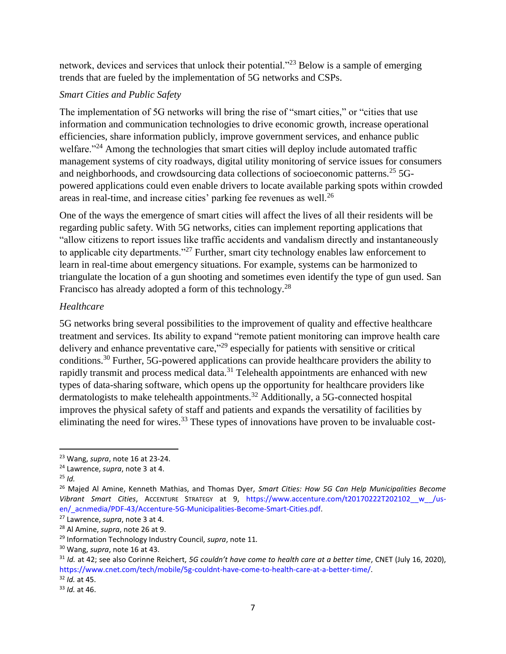network, devices and services that unlock their potential."<sup>23</sup> Below is a sample of emerging trends that are fueled by the implementation of 5G networks and CSPs.

# *Smart Cities and Public Safety*

The implementation of 5G networks will bring the rise of "smart cities," or "cities that use information and communication technologies to drive economic growth, increase operational efficiencies, share information publicly, improve government services, and enhance public welfare."<sup>24</sup> Among the technologies that smart cities will deploy include automated traffic management systems of city roadways, digital utility monitoring of service issues for consumers and neighborhoods, and crowdsourcing data collections of socioeconomic patterns.<sup>25</sup> 5Gpowered applications could even enable drivers to locate available parking spots within crowded areas in real-time, and increase cities' parking fee revenues as well.<sup>26</sup>

One of the ways the emergence of smart cities will affect the lives of all their residents will be regarding public safety. With 5G networks, cities can implement reporting applications that "allow citizens to report issues like traffic accidents and vandalism directly and instantaneously to applicable city departments."<sup>27</sup> Further, smart city technology enables law enforcement to learn in real-time about emergency situations. For example, systems can be harmonized to triangulate the location of a gun shooting and sometimes even identify the type of gun used. San Francisco has already adopted a form of this technology.<sup>28</sup>

# *Healthcare*

5G networks bring several possibilities to the improvement of quality and effective healthcare treatment and services. Its ability to expand "remote patient monitoring can improve health care delivery and enhance preventative care,"<sup>29</sup> especially for patients with sensitive or critical conditions.<sup>30</sup> Further, 5G-powered applications can provide healthcare providers the ability to rapidly transmit and process medical data.<sup>31</sup> Telehealth appointments are enhanced with new types of data-sharing software, which opens up the opportunity for healthcare providers like dermatologists to make telehealth appointments.<sup>32</sup> Additionally, a 5G-connected hospital improves the physical safety of staff and patients and expands the versatility of facilities by eliminating the need for wires.<sup>33</sup> These types of innovations have proven to be invaluable cost-

<sup>23</sup> Wang, *supra*, note 16 at 23-24.

<sup>24</sup> Lawrence, *supra*, note 3 at 4.

 $25$  *Id.* 

<sup>26</sup> Majed Al Amine, Kenneth Mathias, and Thomas Dyer, *Smart Cities: How 5G Can Help Municipalities Become Vibrant Smart Cities*, ACCENTURE STRATEGY at 9, [https://www.accenture.com/t20170222T202102\\_\\_w\\_\\_/us](https://www.accenture.com/t20170222T202102__w__/us-en/_acnmedia/PDF-43/Accenture-5G-Municipalities-Become-Smart-Cities.pdf)en/ acnmedia/PDF-43/Accenture-5G-Municipalities-Become-Smart-Cities.pdf.

<sup>27</sup> Lawrence, *supra*, note 3 at 4.

<sup>28</sup> Al Amine, *supra*, note 26 at 9.

<sup>29</sup> Information Technology Industry Council, *supra*, note 11*.*

<sup>30</sup> Wang, *supra*, note 16 at 43.

<sup>31</sup> *Id.* at 42; see also Corinne Reichert, *5G couldn't have come to health care at a better time*, CNET (July 16, 2020), [https://www.cnet.com/tech/mobile/5g-couldnt-have-come-to-health-care-at-a-better-time/.](https://www.cnet.com/tech/mobile/5g-couldnt-have-come-to-health-care-at-a-better-time/)

<sup>32</sup> *Id.* at 45.

<sup>33</sup> *Id.* at 46.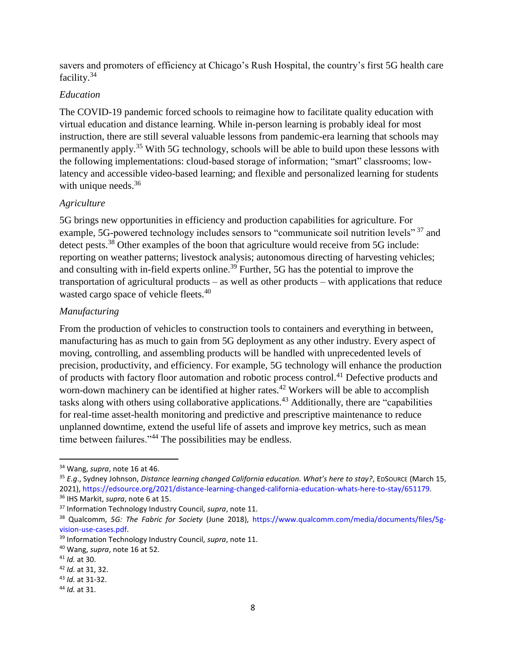savers and promoters of efficiency at Chicago's Rush Hospital, the country's first 5G health care facility.<sup>34</sup>

# *Education*

The COVID-19 pandemic forced schools to reimagine how to facilitate quality education with virtual education and distance learning. While in-person learning is probably ideal for most instruction, there are still several valuable lessons from pandemic-era learning that schools may permanently apply.<sup>35</sup> With 5G technology, schools will be able to build upon these lessons with the following implementations: cloud-based storage of information; "smart" classrooms; lowlatency and accessible video-based learning; and flexible and personalized learning for students with unique needs.  $36$ 

# *Agriculture*

5G brings new opportunities in efficiency and production capabilities for agriculture. For example, 5G-powered technology includes sensors to "communicate soil nutrition levels"<sup>37</sup> and detect pests.<sup>38</sup> Other examples of the boon that agriculture would receive from 5G include: reporting on weather patterns; livestock analysis; autonomous directing of harvesting vehicles; and consulting with in-field experts online.<sup>39</sup> Further, 5G has the potential to improve the transportation of agricultural products – as well as other products – with applications that reduce wasted cargo space of vehicle fleets.<sup>40</sup>

# *Manufacturing*

From the production of vehicles to construction tools to containers and everything in between, manufacturing has as much to gain from 5G deployment as any other industry. Every aspect of moving, controlling, and assembling products will be handled with unprecedented levels of precision, productivity, and efficiency. For example, 5G technology will enhance the production of products with factory floor automation and robotic process control.<sup>41</sup> Defective products and worn-down machinery can be identified at higher rates.<sup>42</sup> Workers will be able to accomplish tasks along with others using collaborative applications.<sup>43</sup> Additionally, there are "capabilities" for real-time asset-health monitoring and predictive and prescriptive maintenance to reduce unplanned downtime, extend the useful life of assets and improve key metrics, such as mean time between failures."<sup>44</sup> The possibilities may be endless.

<sup>34</sup> Wang, *supra*, note 16 at 46.

<sup>35</sup> *E.g*., Sydney Johnson, *Distance learning changed California education. What's here to stay?*, EDSOURCE (March 15, 2021), [https://edsource.org/2021/distance-learning-changed-california-education-whats-here-to-stay/651179.](https://edsource.org/2021/distance-learning-changed-california-education-whats-here-to-stay/651179) <sup>36</sup> IHS Markit, *supra*, note 6 at 15.

<sup>37</sup> Information Technology Industry Council, *supra*, note 11.

<sup>38</sup> Qualcomm, *5G: The Fabric for Society* (June 2018), [https://www.qualcomm.com/media/documents/files/5g](https://www.qualcomm.com/media/documents/files/5g-vision-use-cases.pdf)[vision-use-cases.pdf.](https://www.qualcomm.com/media/documents/files/5g-vision-use-cases.pdf)

<sup>39</sup> Information Technology Industry Council, *supra*, note 11.

<sup>40</sup> Wang, *supra*, note 16 at 52.

<sup>41</sup> *Id.* at 30.

<sup>42</sup> *Id.* at 31, 32.

<sup>43</sup> *Id.* at 31-32.

<sup>44</sup> *Id.* at 31.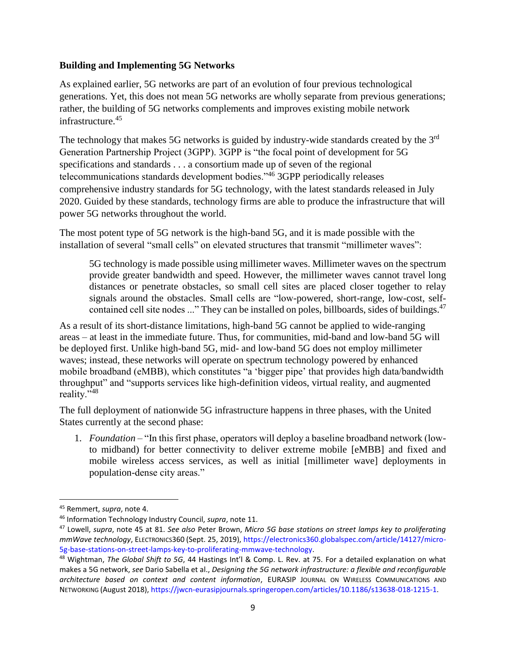## **Building and Implementing 5G Networks**

As explained earlier, 5G networks are part of an evolution of four previous technological generations. Yet, this does not mean 5G networks are wholly separate from previous generations; rather, the building of 5G networks complements and improves existing mobile network infrastructure.<sup>45</sup>

The technology that makes 5G networks is guided by industry-wide standards created by the 3<sup>rd</sup> Generation Partnership Project (3GPP). 3GPP is "the focal point of development for 5G specifications and standards . . . a consortium made up of seven of the regional telecommunications standards development bodies."<sup>46</sup> 3GPP periodically releases comprehensive industry standards for 5G technology, with the latest standards released in July 2020. Guided by these standards, technology firms are able to produce the infrastructure that will power 5G networks throughout the world.

The most potent type of 5G network is the high-band 5G, and it is made possible with the installation of several "small cells" on elevated structures that transmit "millimeter waves":

5G technology is made possible using millimeter waves. Millimeter waves on the spectrum provide greater bandwidth and speed. However, the millimeter waves cannot travel long distances or penetrate obstacles, so small cell sites are placed closer together to relay signals around the obstacles. Small cells are "low-powered, short-range, low-cost, selfcontained cell site nodes ..." They can be installed on poles, billboards, sides of buildings.<sup>47</sup>

As a result of its short-distance limitations, high-band 5G cannot be applied to wide-ranging areas – at least in the immediate future. Thus, for communities, mid-band and low-band 5G will be deployed first. Unlike high-band 5G, mid- and low-band 5G does not employ millimeter waves; instead, these networks will operate on spectrum technology powered by enhanced mobile broadband (eMBB), which constitutes "a 'bigger pipe' that provides high data/bandwidth throughput" and "supports services like high-definition videos, virtual reality, and augmented reality."<sup>48</sup>

The full deployment of nationwide 5G infrastructure happens in three phases, with the United States currently at the second phase:

1. *Foundation* – "In this first phase, operators will deploy a baseline broadband network (lowto midband) for better connectivity to deliver extreme mobile [eMBB] and fixed and mobile wireless access services, as well as initial [millimeter wave] deployments in population-dense city areas."

<sup>45</sup> Remmert, *supra*, note 4.

<sup>46</sup> Information Technology Industry Council, *supra*, note 11.

<sup>47</sup> Lowell, *supra*, note 45 at 81. *See also* Peter Brown, *Micro 5G base stations on street lamps key to proliferating mmWave technology*, ELECTRONICS360 (Sept. 25, 2019), [https://electronics360.globalspec.com/article/14127/micro-](https://electronics360.globalspec.com/article/14127/micro-5g-base-stations-on-street-lamps-key-to-proliferating-mmwave-technology)[5g-base-stations-on-street-lamps-key-to-proliferating-mmwave-technology.](https://electronics360.globalspec.com/article/14127/micro-5g-base-stations-on-street-lamps-key-to-proliferating-mmwave-technology)

<sup>48</sup> Wightman, *The Global Shift to 5G*, 44 Hastings Int'l & Comp. L. Rev. at 75. For a detailed explanation on what makes a 5G network, *see* Dario Sabella et al., *Designing the 5G network infrastructure: a flexible and reconfigurable architecture based on context and content information*, EURASIP JOURNAL ON WIRELESS COMMUNICATIONS AND NETWORKING (August 2018), [https://jwcn-eurasipjournals.springeropen.com/articles/10.1186/s13638-018-1215-1.](https://jwcn-eurasipjournals.springeropen.com/articles/10.1186/s13638-018-1215-1)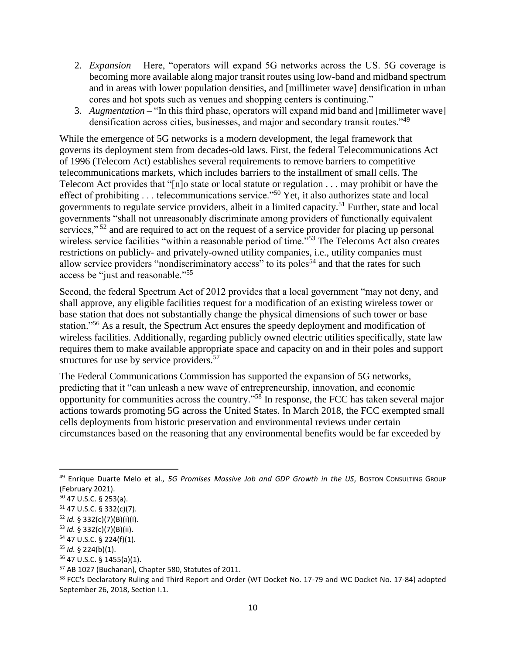- 2. *Expansion*  Here, "operators will expand 5G networks across the US. 5G coverage is becoming more available along major transit routes using low-band and midband spectrum and in areas with lower population densities, and [millimeter wave] densification in urban cores and hot spots such as venues and shopping centers is continuing."
- 3. *Augmentation*  "In this third phase, operators will expand mid band and [millimeter wave] densification across cities, businesses, and major and secondary transit routes."<sup>49</sup>

While the emergence of 5G networks is a modern development, the legal framework that governs its deployment stem from decades-old laws. First, the federal Telecommunications Act of 1996 (Telecom Act) establishes several requirements to remove barriers to competitive telecommunications markets, which includes barriers to the installment of small cells. The Telecom Act provides that "[n]o state or local statute or regulation . . . may prohibit or have the effect of prohibiting . . . telecommunications service."<sup>50</sup> Yet, it also authorizes state and local governments to regulate service providers, albeit in a limited capacity.<sup>51</sup> Further, state and local governments "shall not unreasonably discriminate among providers of functionally equivalent services,"<sup>52</sup> and are required to act on the request of a service provider for placing up personal wireless service facilities "within a reasonable period of time."<sup>53</sup> The Telecoms Act also creates restrictions on publicly- and privately-owned utility companies, i.e., utility companies must allow service providers "nondiscriminatory access" to its poles<sup>54</sup> and that the rates for such access be "just and reasonable."<sup>55</sup>

Second, the federal Spectrum Act of 2012 provides that a local government "may not deny, and shall approve, any eligible facilities request for a modification of an existing wireless tower or base station that does not substantially change the physical dimensions of such tower or base station."<sup>56</sup> As a result, the Spectrum Act ensures the speedy deployment and modification of wireless facilities. Additionally, regarding publicly owned electric utilities specifically, state law requires them to make available appropriate space and capacity on and in their poles and support structures for use by service providers.<sup>57</sup>

The Federal Communications Commission has supported the expansion of 5G networks, predicting that it "can unleash a new wave of entrepreneurship, innovation, and economic opportunity for communities across the country." <sup>58</sup> In response, the FCC has taken several major actions towards promoting 5G across the United States. In March 2018, the FCC exempted small cells deployments from historic preservation and environmental reviews under certain circumstances based on the reasoning that any environmental benefits would be far exceeded by

 $\overline{\phantom{a}}$ 

<sup>53</sup> *Id.* § 332(c)(7)(B)(ii).

<sup>57</sup> AB 1027 (Buchanan), Chapter 580, Statutes of 2011.

<sup>49</sup> Enrique Duarte Melo et al., *5G Promises Massive Job and GDP Growth in the US*, BOSTON CONSULTING GROUP (February 2021).

<sup>50</sup> 47 U.S.C. § 253(a).

 $51$  47 U.S.C. § 332(c)(7).

<sup>52</sup> *Id.* § 332(c)(7)(B)(i)(I).

<sup>54</sup> 47 U.S.C. § 224(f)(1).

<sup>55</sup> *Id.* § 224(b)(1).

<sup>56</sup> 47 U.S.C. § 1455(a)(1).

<sup>&</sup>lt;sup>58</sup> FCC's Declaratory Ruling and Third Report and Order (WT Docket No. 17-79 and WC Docket No. 17-84) adopted September 26, 2018, Section I.1.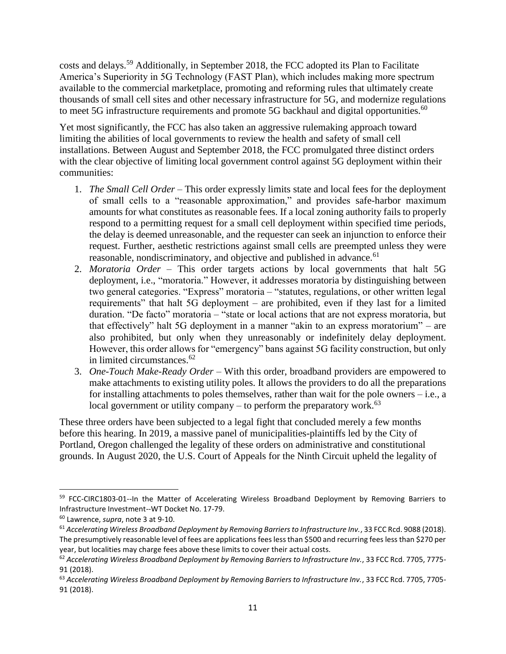costs and delays.<sup>59</sup> Additionally, in September 2018, the FCC adopted its Plan to Facilitate America's Superiority in 5G Technology (FAST Plan), which includes making more spectrum available to the commercial marketplace, promoting and reforming rules that ultimately create thousands of small cell sites and other necessary infrastructure for 5G, and modernize regulations to meet 5G infrastructure requirements and promote 5G backhaul and digital opportunities.<sup>60</sup>

Yet most significantly, the FCC has also taken an aggressive rulemaking approach toward limiting the abilities of local governments to review the health and safety of small cell installations. Between August and September 2018, the FCC promulgated three distinct orders with the clear objective of limiting local government control against 5G deployment within their communities:

- 1. *The Small Cell Order*  This order expressly limits state and local fees for the deployment of small cells to a "reasonable approximation," and provides safe-harbor maximum amounts for what constitutes as reasonable fees. If a local zoning authority fails to properly respond to a permitting request for a small cell deployment within specified time periods, the delay is deemed unreasonable, and the requester can seek an injunction to enforce their request. Further, aesthetic restrictions against small cells are preempted unless they were reasonable, nondiscriminatory, and objective and published in advance.<sup>61</sup>
- 2. *Moratoria Order*  This order targets actions by local governments that halt 5G deployment, i.e., "moratoria." However, it addresses moratoria by distinguishing between two general categories. "Express" moratoria – "statutes, regulations, or other written legal requirements" that halt 5G deployment – are prohibited, even if they last for a limited duration. "De facto" moratoria – "state or local actions that are not express moratoria, but that effectively" halt 5G deployment in a manner "akin to an express moratorium" – are also prohibited, but only when they unreasonably or indefinitely delay deployment. However, this order allows for "emergency" bans against 5G facility construction, but only in limited circumstances.<sup>62</sup>
- 3. *One*-*Touch Make-Ready Order –* With this order, broadband providers are empowered to make attachments to existing utility poles. It allows the providers to do all the preparations for installing attachments to poles themselves, rather than wait for the pole owners – i.e., a local government or utility company – to perform the preparatory work.<sup>63</sup>

These three orders have been subjected to a legal fight that concluded merely a few months before this hearing. In 2019, a massive panel of municipalities-plaintiffs led by the City of Portland, Oregon challenged the legality of these orders on administrative and constitutional grounds. In August 2020, the U.S. Court of Appeals for the Ninth Circuit upheld the legality of

 $\overline{a}$ 

<sup>&</sup>lt;sup>59</sup> FCC-CIRC1803-01--In the Matter of Accelerating Wireless Broadband Deployment by Removing Barriers to Infrastructure Investment--WT Docket No. 17-79.

<sup>60</sup> Lawrence, *supra*, note 3 at 9-10.

<sup>61</sup> *Accelerating Wireless Broadband Deployment by Removing Barriers to Infrastructure Inv.*, 33 FCC Rcd. 9088 (2018). The presumptively reasonable level of fees are applications fees less than \$500 and recurring fees less than \$270 per year, but localities may charge fees above these limits to cover their actual costs.

<sup>62</sup> *Accelerating Wireless Broadband Deployment by Removing Barriers to Infrastructure Inv.*, 33 FCC Rcd. 7705, 7775- 91 (2018).

<sup>63</sup> *Accelerating Wireless Broadband Deployment by Removing Barriers to Infrastructure Inv.*, 33 FCC Rcd. 7705, 7705- 91 (2018).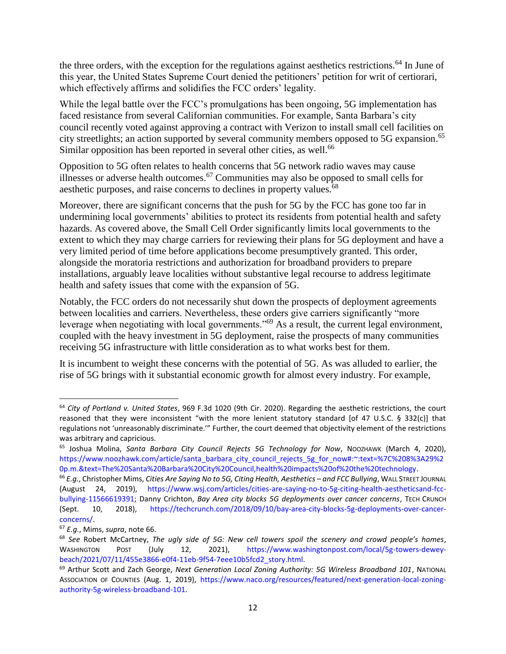the three orders, with the exception for the regulations against aesthetics restrictions.<sup>64</sup> In June of this year, the United States Supreme Court denied the petitioners' petition for writ of certiorari, which effectively affirms and solidifies the FCC orders' legality.

While the legal battle over the FCC's promulgations has been ongoing, 5G implementation has faced resistance from several Californian communities. For example, Santa Barbara's city council recently voted against approving a contract with Verizon to install small cell facilities on city streetlights; an action supported by several community members opposed to 5G expansion. 65 Similar opposition has been reported in several other cities, as well.<sup>66</sup>

Opposition to 5G often relates to health concerns that 5G network radio waves may cause illnesses or adverse health outcomes.<sup>67</sup> Communities may also be opposed to small cells for aesthetic purposes, and raise concerns to declines in property values.<sup>68</sup>

Moreover, there are significant concerns that the push for 5G by the FCC has gone too far in undermining local governments' abilities to protect its residents from potential health and safety hazards. As covered above, the Small Cell Order significantly limits local governments to the extent to which they may charge carriers for reviewing their plans for 5G deployment and have a very limited period of time before applications become presumptively granted. This order, alongside the moratoria restrictions and authorization for broadband providers to prepare installations, arguably leave localities without substantive legal recourse to address legitimate health and safety issues that come with the expansion of 5G.

Notably, the FCC orders do not necessarily shut down the prospects of deployment agreements between localities and carriers. Nevertheless, these orders give carriers significantly "more leverage when negotiating with local governments."<sup>69</sup> As a result, the current legal environment, coupled with the heavy investment in 5G deployment, raise the prospects of many communities receiving 5G infrastructure with little consideration as to what works best for them.

It is incumbent to weight these concerns with the potential of 5G. As was alluded to earlier, the rise of 5G brings with it substantial economic growth for almost every industry. For example,

<sup>64</sup> *City of Portland v. United States*, 969 F.3d 1020 (9th Cir. 2020). Regarding the aesthetic restrictions, the court reasoned that they were inconsistent "with the more lenient statutory standard [of 47 U.S.C. § 332(c)] that regulations not 'unreasonably discriminate.'" Further, the court deemed that objectivity element of the restrictions was arbitrary and capricious.

<sup>65</sup> Joshua Molina, *Santa Barbara City Council Rejects 5G Technology for Now*, NOOZHAWK (March 4, 2020), [https://www.noozhawk.com/article/santa\\_barbara\\_city\\_council\\_rejects\\_5g\\_for\\_now#:~:text=%7C%208%3A29%2](https://www.noozhawk.com/article/santa_barbara_city_council_rejects_5g_for_now#:~:text=%7C%208%3A29%20p.m.&text=The%20Santa%20Barbara%20City%20Council,health%20impacts%20of%20the%20technology) [0p.m.&text=The%20Santa%20Barbara%20City%20Council,health%20impacts%20of%20the%20technology.](https://www.noozhawk.com/article/santa_barbara_city_council_rejects_5g_for_now#:~:text=%7C%208%3A29%20p.m.&text=The%20Santa%20Barbara%20City%20Council,health%20impacts%20of%20the%20technology)

<sup>66</sup> *E.g.*, Christopher Mims, *Cities Are Saying No to 5G, Citing Health, Aesthetics – and FCC Bullying*, WALL STREET JOURNAL (August 24, 2019), [https://www.wsj.com/articles/cities-are-saying-no-to-5g-citing-health-aestheticsand-fcc](https://www.wsj.com/articles/cities-are-saying-no-to-5g-citing-health-aestheticsand-fcc-bullying-11566619391)[bullying-11566619391;](https://www.wsj.com/articles/cities-are-saying-no-to-5g-citing-health-aestheticsand-fcc-bullying-11566619391) Danny Crichton, *Bay Area city blocks 5G deployments over cancer concerns*, TECH CRUNCH (Sept. 10, 2018), [https://techcrunch.com/2018/09/10/bay-area-city-blocks-5g-deployments-over-cancer](https://techcrunch.com/2018/09/10/bay-area-city-blocks-5g-deployments-over-cancer-concerns/)[concerns/.](https://techcrunch.com/2018/09/10/bay-area-city-blocks-5g-deployments-over-cancer-concerns/)

<sup>67</sup> *E.g.*, Mims, *supra*, note 66.

<sup>68</sup> *See* Robert McCartney, *The ugly side of 5G: New cell towers spoil the scenery and crowd people's homes*, WASHINGTON POST (July 12, 2021), [https://www.washingtonpost.com/local/5g-towers-dewey](https://www.washingtonpost.com/local/5g-towers-dewey-beach/2021/07/11/455e3866-e0f4-11eb-9f54-7eee10b5fcd2_story.html)[beach/2021/07/11/455e3866-e0f4-11eb-9f54-7eee10b5fcd2\\_story.html.](https://www.washingtonpost.com/local/5g-towers-dewey-beach/2021/07/11/455e3866-e0f4-11eb-9f54-7eee10b5fcd2_story.html)

<sup>69</sup> Arthur Scott and Zach George, *Next Generation Local Zoning Authority: 5G Wireless Broadband 101*, NATIONAL ASSOCIATION OF COUNTIES (Aug. 1, 2019), [https://www.naco.org/resources/featured/next-generation-local-zoning](https://www.naco.org/resources/featured/next-generation-local-zoning-authority-5g-wireless-broadband-101)[authority-5g-wireless-broadband-101.](https://www.naco.org/resources/featured/next-generation-local-zoning-authority-5g-wireless-broadband-101)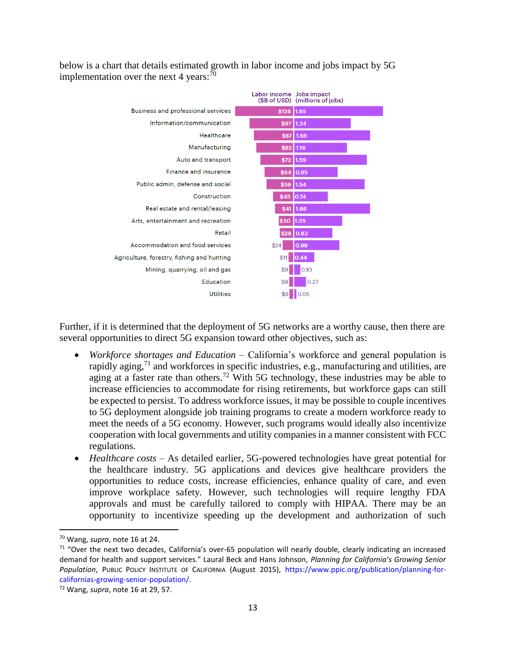below is a chart that details estimated growth in labor income and jobs impact by 5G implementation over the next 4 years: $70$ 

![](_page_12_Figure_1.jpeg)

Further, if it is determined that the deployment of 5G networks are a worthy cause, then there are several opportunities to direct 5G expansion toward other objectives, such as:

- *Workforce shortages and Education*  California's workforce and general population is rapidly aging,<sup>71</sup> and workforces in specific industries, e.g., manufacturing and utilities, are aging at a faster rate than others.<sup>72</sup> With 5G technology, these industries may be able to increase efficiencies to accommodate for rising retirements, but workforce gaps can still be expected to persist. To address workforce issues, it may be possible to couple incentives to 5G deployment alongside job training programs to create a modern workforce ready to meet the needs of a 5G economy. However, such programs would ideally also incentivize cooperation with local governments and utility companies in a manner consistent with FCC regulations.
- *Healthcare costs* As detailed earlier, 5G-powered technologies have great potential for the healthcare industry. 5G applications and devices give healthcare providers the opportunities to reduce costs, increase efficiencies, enhance quality of care, and even improve workplace safety. However, such technologies will require lengthy FDA approvals and must be carefully tailored to comply with HIPAA. There may be an opportunity to incentivize speeding up the development and authorization of such

l

<sup>70</sup> Wang, *supra*, note 16 at 24.

 $71$  "Over the next two decades, California's over-65 population will nearly double, clearly indicating an increased demand for health and support services." Laural Beck and Hans Johnson, *Planning for California's Growing Senior Population*, PUBLIC POLICY INSTITUTE OF CALIFORNIA (August 2015), [https://www.ppic.org/publication/planning-for](https://www.ppic.org/publication/planning-for-californias-growing-senior-population/)[californias-growing-senior-population/.](https://www.ppic.org/publication/planning-for-californias-growing-senior-population/)

<sup>72</sup> Wang, *supra*, note 16 at 29, 57.